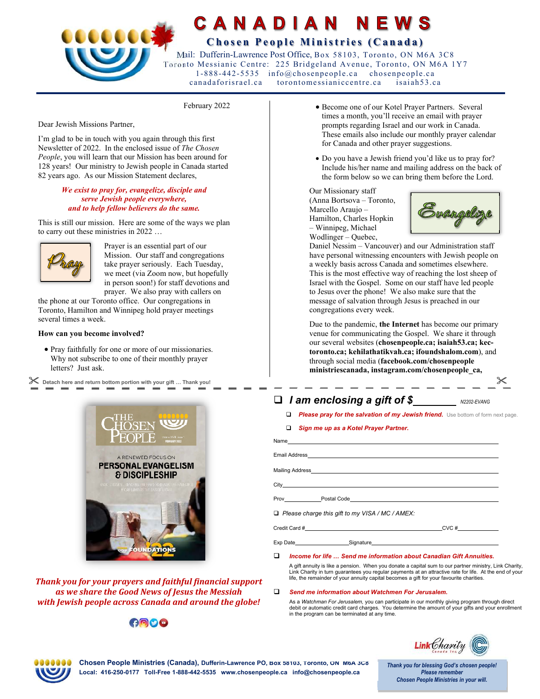

# CANADIAN  **C h o s e n P e o p l e M i n i s t r i e s ( C a n a d a )**

 Mail: Dufferin-Lawrence Post Office, Box 58103, Toronto, ON M6A 3C8 Toronto Messianic Centre: 225 Bridgeland Avenue, Toronto, ON M6A 1Y7 1-888-442-5535 info@chosenpeople.ca chosenpeople.ca canadaforisrael.ca torontomessianiccentre.ca isaiah53.ca

February 2022

Dear Jewish Missions Partner,

I'm glad to be in touch with you again through this first Newsletter of 2022. In the enclosed issue of *The Chosen People*, you will learn that our Mission has been around for 128 years! Our ministry to Jewish people in Canada started 82 years ago. As our Mission Statement declares,

### *We exist to pray for, evangelize, disciple and serve Jewish people everywhere, and to help fellow believers do the same.*

This is still our mission. Here are some of the ways we plan to carry out these ministries in 2022 …



Prayer is an essential part of our Mission. Our staff and congregations take prayer seriously. Each Tuesday, we meet (via Zoom now, but hopefully in person soon!) for staff devotions and prayer. We also pray with callers on

the phone at our Toronto office. Our congregations in Toronto, Hamilton and Winnipeg hold prayer meetings several times a week.

### **How can you become involved?**

 Pray faithfully for one or more of our missionaries. Why not subscribe to one of their monthly prayer letters? Just ask.

 $<$  Detach here and return bottom portion with your gift … Thank you!  $\checkmark$ 



*Thank you for your prayers and faithful financial support as we share the Good News of Jesus the Messiah with Jewish people across Canada and around the globe!* 

# $000$

- Become one of our Kotel Prayer Partners. Several times a month, you'll receive an email with prayer prompts regarding Israel and our work in Canada. These emails also include our monthly prayer calendar for Canada and other prayer suggestions.
- Do you have a Jewish friend you'd like us to pray for? Include his/her name and mailing address on the back of the form below so we can bring them before the Lord.

Our Missionary staff (Anna Bortsova – Toronto, Marcello Araujo – Hamilton, Charles Hopkin – Winnipeg, Michael Wodlinger – Quebec,



Daniel Nessim – Vancouver) and our Administration staff have personal witnessing encounters with Jewish people on a weekly basis across Canada and sometimes elsewhere. This is the most effective way of reaching the lost sheep of Israel with the Gospel. Some on our staff have led people to Jesus over the phone! We also make sure that the message of salvation through Jesus is preached in our congregations every week.

Due to the pandemic, **the Internet** has become our primary venue for communicating the Gospel. We share it through our several websites (**chosenpeople.ca; isaiah53.ca; kectoronto.ca; kehilathatikvah.ca; ifoundshalom.com**), and through social media (**facebook.com/chosenpeople ministriescanada, instagram.com/chosenpeople\_ca,** 

## $\Box$  *I* am enclosing a gift of \$<br>*N2202-EVANG*

- **D** Please pray for the salvation of my Jewish friend. Use bottom of form next page.
- *Sign me up as a Kotel Prayer Partner.*

| □ Please charge this gift to my VISA / MC / AMEX: |          |
|---------------------------------------------------|----------|
|                                                   | $CVC \#$ |

Exp Date\_\_\_\_\_\_\_\_\_\_\_\_\_\_\_\_\_\_\_\_\_\_\_\_\_Signature

*Income for life … Send me information about Canadian Gift Annuities.*

A gift annuity is like a pension. When you donate a capital sum to our partner ministry, Link Charity, Link Charity in turn guarantees you regular payments at an attractive rate for life. At the end of your life, the remainder of your annuity capital becomes a gift for your favourite charities.

### *Send me information about Watchmen For Jerusalem.*

As a *Watchman For Jerusalem,* you can participate in our monthly giving program through direct debit or automatic credit card charges. You determine the amount of your gifts and your enrollment in the program can be terminated at any time.



**Chosen People Ministries (Canada), Dufferin-Lawrence PO, Box 58103, Toronto, ON M6A 3C8 Local: 416-250-0177 Toll-Free 1-888-442-5535 www.chosenpeople.ca info@chosenpeople.ca** 

Thank you for blessing God's chosen people! **Please remember Chosen People Ministries in your will.**